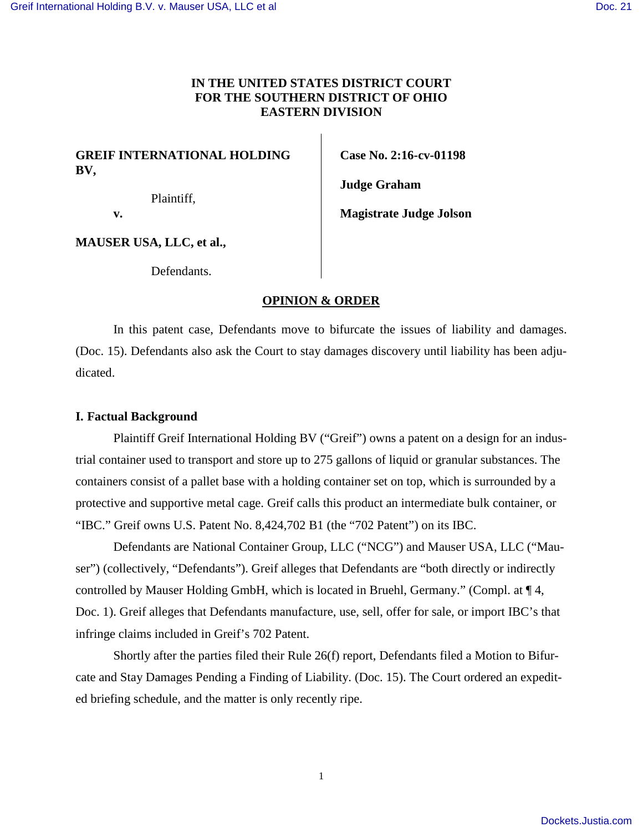## **IN THE UNITED STATES DISTRICT COURT FOR THE SOUTHERN DISTRICT OF OHIO EASTERN DIVISION**

## **GREIF INTERNATIONAL HOLDING BV,**

Plaintiff,

**Case No. 2:16-cv-01198** 

**Magistrate Judge Jolson** 

**Judge Graham** 

 **v.** 

**MAUSER USA, LLC, et al.,** 

Defendants.

### **OPINION & ORDER**

In this patent case, Defendants move to bifurcate the issues of liability and damages. (Doc. 15). Defendants also ask the Court to stay damages discovery until liability has been adjudicated.

#### **I. Factual Background**

Plaintiff Greif International Holding BV ("Greif") owns a patent on a design for an industrial container used to transport and store up to 275 gallons of liquid or granular substances. The containers consist of a pallet base with a holding container set on top, which is surrounded by a protective and supportive metal cage. Greif calls this product an intermediate bulk container, or "IBC." Greif owns U.S. Patent No. 8,424,702 B1 (the "702 Patent") on its IBC.

Defendants are National Container Group, LLC ("NCG") and Mauser USA, LLC ("Mauser") (collectively, "Defendants"). Greif alleges that Defendants are "both directly or indirectly controlled by Mauser Holding GmbH, which is located in Bruehl, Germany." (Compl. at ¶ 4, Doc. 1). Greif alleges that Defendants manufacture, use, sell, offer for sale, or import IBC's that infringe claims included in Greif's 702 Patent.

 Shortly after the parties filed their Rule 26(f) report, Defendants filed a Motion to Bifurcate and Stay Damages Pending a Finding of Liability. (Doc. 15). The Court ordered an expedited briefing schedule, and the matter is only recently ripe.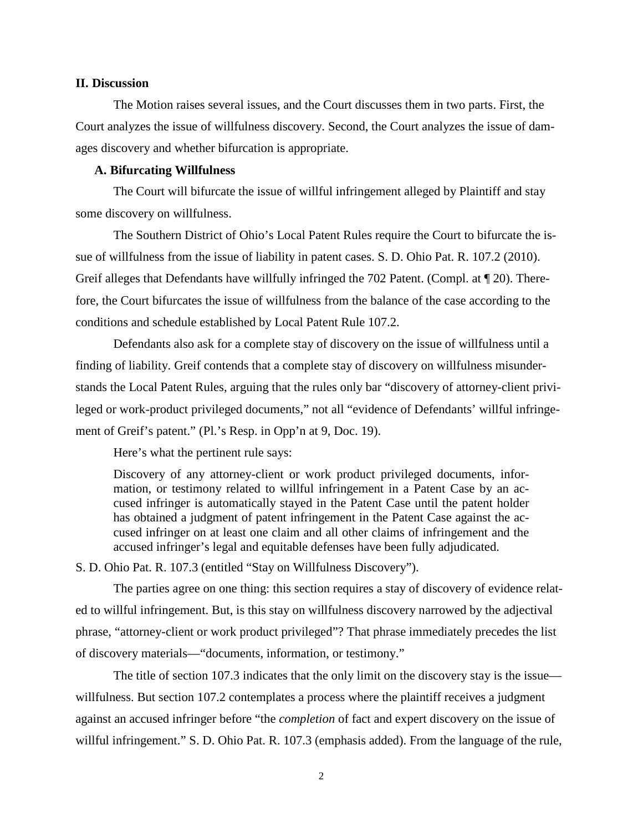#### **II. Discussion**

 The Motion raises several issues, and the Court discusses them in two parts. First, the Court analyzes the issue of willfulness discovery. Second, the Court analyzes the issue of damages discovery and whether bifurcation is appropriate.

#### **A. Bifurcating Willfulness**

The Court will bifurcate the issue of willful infringement alleged by Plaintiff and stay some discovery on willfulness.

 The Southern District of Ohio's Local Patent Rules require the Court to bifurcate the issue of willfulness from the issue of liability in patent cases. S. D. Ohio Pat. R. 107.2 (2010). Greif alleges that Defendants have willfully infringed the 702 Patent. (Compl. at ¶ 20). Therefore, the Court bifurcates the issue of willfulness from the balance of the case according to the conditions and schedule established by Local Patent Rule 107.2.

 Defendants also ask for a complete stay of discovery on the issue of willfulness until a finding of liability. Greif contends that a complete stay of discovery on willfulness misunderstands the Local Patent Rules, arguing that the rules only bar "discovery of attorney-client privileged or work-product privileged documents," not all "evidence of Defendants' willful infringement of Greif's patent." (Pl.'s Resp. in Opp'n at 9, Doc. 19).

Here's what the pertinent rule says:

Discovery of any attorney-client or work product privileged documents, information, or testimony related to willful infringement in a Patent Case by an accused infringer is automatically stayed in the Patent Case until the patent holder has obtained a judgment of patent infringement in the Patent Case against the accused infringer on at least one claim and all other claims of infringement and the accused infringer's legal and equitable defenses have been fully adjudicated.

S. D. Ohio Pat. R. 107.3 (entitled "Stay on Willfulness Discovery").

 The parties agree on one thing: this section requires a stay of discovery of evidence related to willful infringement. But, is this stay on willfulness discovery narrowed by the adjectival phrase, "attorney-client or work product privileged"? That phrase immediately precedes the list of discovery materials—"documents, information, or testimony."

 The title of section 107.3 indicates that the only limit on the discovery stay is the issue willfulness. But section 107.2 contemplates a process where the plaintiff receives a judgment against an accused infringer before "the *completion* of fact and expert discovery on the issue of willful infringement." S. D. Ohio Pat. R. 107.3 (emphasis added). From the language of the rule,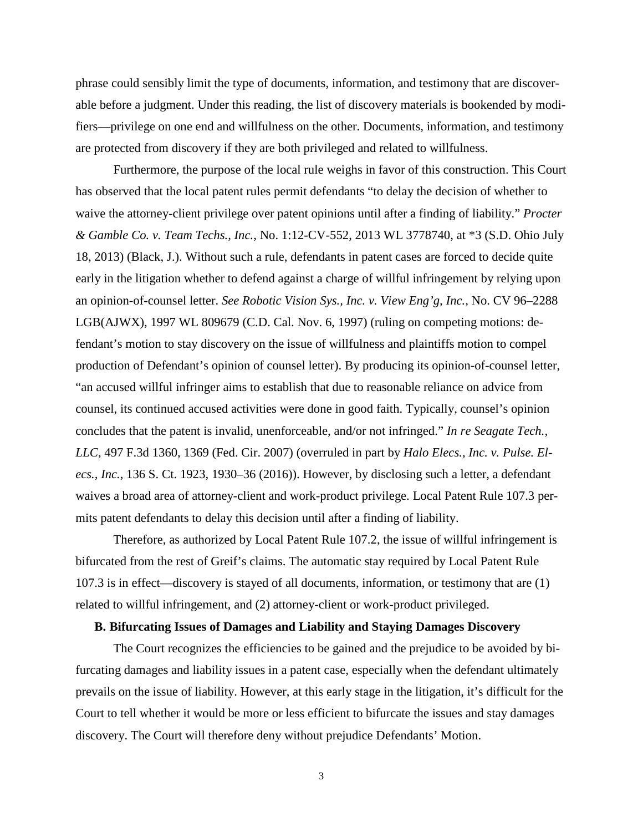phrase could sensibly limit the type of documents, information, and testimony that are discoverable before a judgment. Under this reading, the list of discovery materials is bookended by modifiers—privilege on one end and willfulness on the other. Documents, information, and testimony are protected from discovery if they are both privileged and related to willfulness.

Furthermore, the purpose of the local rule weighs in favor of this construction. This Court has observed that the local patent rules permit defendants "to delay the decision of whether to waive the attorney-client privilege over patent opinions until after a finding of liability." *Procter & Gamble Co. v. Team Techs., Inc.*, No. 1:12-CV-552, 2013 WL 3778740, at \*3 (S.D. Ohio July 18, 2013) (Black, J.). Without such a rule, defendants in patent cases are forced to decide quite early in the litigation whether to defend against a charge of willful infringement by relying upon an opinion-of-counsel letter. *See Robotic Vision Sys., Inc. v. View Eng'g, Inc.*, No. CV 96–2288 LGB(AJWX), 1997 WL 809679 (C.D. Cal. Nov. 6, 1997) (ruling on competing motions: defendant's motion to stay discovery on the issue of willfulness and plaintiffs motion to compel production of Defendant's opinion of counsel letter). By producing its opinion-of-counsel letter, "an accused willful infringer aims to establish that due to reasonable reliance on advice from counsel, its continued accused activities were done in good faith. Typically, counsel's opinion concludes that the patent is invalid, unenforceable, and/or not infringed." *In re Seagate Tech., LLC*, 497 F.3d 1360, 1369 (Fed. Cir. 2007) (overruled in part by *Halo Elecs., Inc. v. Pulse. Elecs., Inc.*, 136 S. Ct. 1923, 1930–36 (2016)). However, by disclosing such a letter, a defendant waives a broad area of attorney-client and work-product privilege. Local Patent Rule 107.3 permits patent defendants to delay this decision until after a finding of liability.

 Therefore, as authorized by Local Patent Rule 107.2, the issue of willful infringement is bifurcated from the rest of Greif's claims. The automatic stay required by Local Patent Rule 107.3 is in effect—discovery is stayed of all documents, information, or testimony that are (1) related to willful infringement, and (2) attorney-client or work-product privileged.

#### **B. Bifurcating Issues of Damages and Liability and Staying Damages Discovery**

The Court recognizes the efficiencies to be gained and the prejudice to be avoided by bifurcating damages and liability issues in a patent case, especially when the defendant ultimately prevails on the issue of liability. However, at this early stage in the litigation, it's difficult for the Court to tell whether it would be more or less efficient to bifurcate the issues and stay damages discovery. The Court will therefore deny without prejudice Defendants' Motion.

3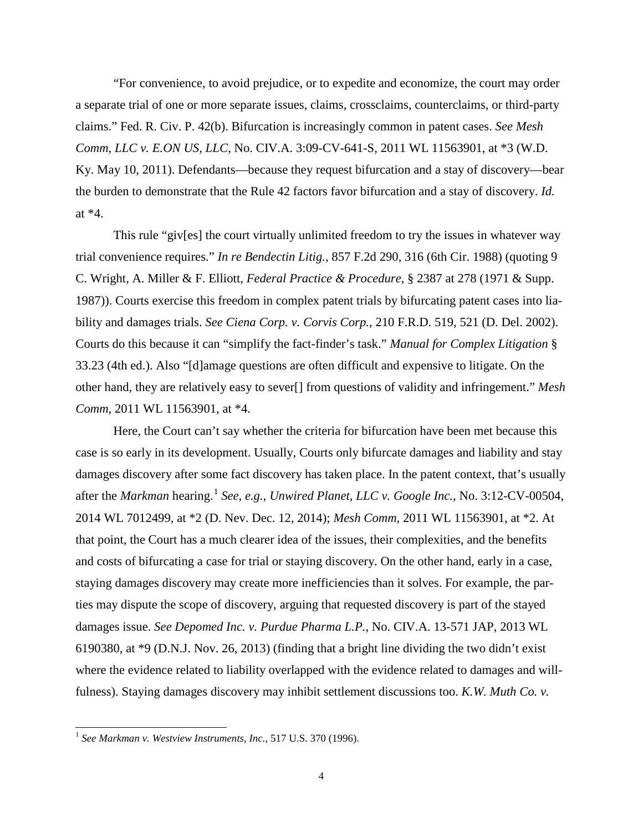"For convenience, to avoid prejudice, or to expedite and economize, the court may order a separate trial of one or more separate issues, claims, crossclaims, counterclaims, or third-party claims." Fed. R. Civ. P. 42(b). Bifurcation is increasingly common in patent cases. *See Mesh Comm, LLC v. E.ON US, LLC*, No. CIV.A. 3:09-CV-641-S, 2011 WL 11563901, at \*3 (W.D. Ky. May 10, 2011). Defendants—because they request bifurcation and a stay of discovery—bear the burden to demonstrate that the Rule 42 factors favor bifurcation and a stay of discovery. *Id.* at \*4.

 This rule "giv[es] the court virtually unlimited freedom to try the issues in whatever way trial convenience requires." *In re Bendectin Litig.*, 857 F.2d 290, 316 (6th Cir. 1988) (quoting 9 C. Wright, A. Miller & F. Elliott, *Federal Practice & Procedure*, § 2387 at 278 (1971 & Supp. 1987)). Courts exercise this freedom in complex patent trials by bifurcating patent cases into liability and damages trials. *See Ciena Corp. v. Corvis Corp.*, 210 F.R.D. 519, 521 (D. Del. 2002). Courts do this because it can "simplify the fact-finder's task." *Manual for Complex Litigation* § 33.23 (4th ed.). Also "[d]amage questions are often difficult and expensive to litigate. On the other hand, they are relatively easy to sever[] from questions of validity and infringement." *Mesh Comm*, 2011 WL 11563901, at \*4.

Here, the Court can't say whether the criteria for bifurcation have been met because this case is so early in its development. Usually, Courts only bifurcate damages and liability and stay damages discovery after some fact discovery has taken place. In the patent context, that's usually after the *Markman* hearing.<sup>[1](#page-3-0)</sup> See, e.g., *Unwired Planet, LLC v. Google Inc.*, No. 3:12-CV-00504, 2014 WL 7012499, at \*2 (D. Nev. Dec. 12, 2014); *Mesh Comm*, 2011 WL 11563901, at \*2. At that point, the Court has a much clearer idea of the issues, their complexities, and the benefits and costs of bifurcating a case for trial or staying discovery. On the other hand, early in a case, staying damages discovery may create more inefficiencies than it solves. For example, the parties may dispute the scope of discovery, arguing that requested discovery is part of the stayed damages issue. *See Depomed Inc. v. Purdue Pharma L.P.*, No. CIV.A. 13-571 JAP, 2013 WL 6190380, at \*9 (D.N.J. Nov. 26, 2013) (finding that a bright line dividing the two didn't exist where the evidence related to liability overlapped with the evidence related to damages and willfulness). Staying damages discovery may inhibit settlement discussions too. *K.W. Muth Co. v.* 

<span id="page-3-0"></span> 1 *See Markman v. Westview Instruments, Inc.*, 517 U.S. 370 (1996).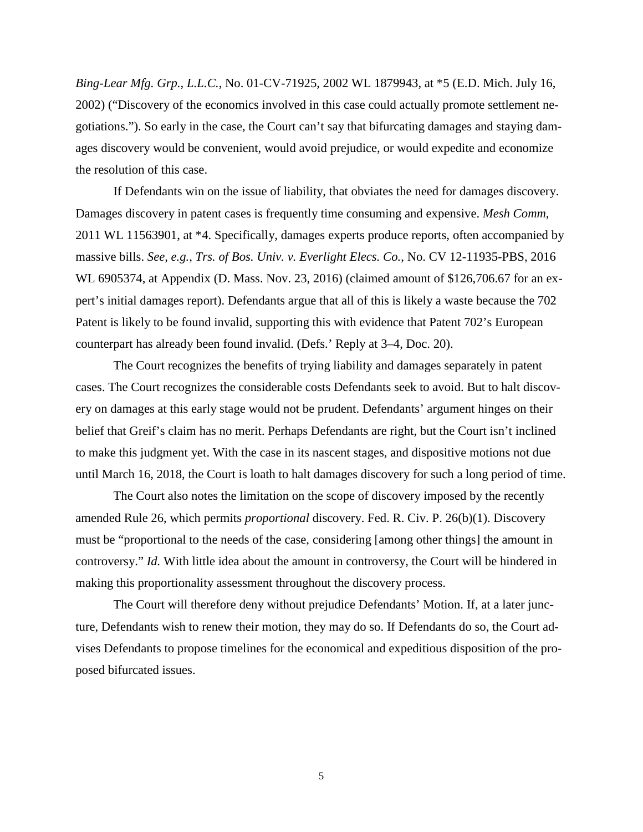*Bing-Lear Mfg. Grp., L.L.C.*, No. 01-CV-71925, 2002 WL 1879943, at \*5 (E.D. Mich. July 16, 2002) ("Discovery of the economics involved in this case could actually promote settlement negotiations."). So early in the case, the Court can't say that bifurcating damages and staying damages discovery would be convenient, would avoid prejudice, or would expedite and economize the resolution of this case.

 If Defendants win on the issue of liability, that obviates the need for damages discovery. Damages discovery in patent cases is frequently time consuming and expensive. *Mesh Comm*, 2011 WL 11563901, at \*4. Specifically, damages experts produce reports, often accompanied by massive bills. *See, e.g.*, *Trs. of Bos. Univ. v. Everlight Elecs. Co.*, No. CV 12-11935-PBS, 2016 WL 6905374, at Appendix (D. Mass. Nov. 23, 2016) (claimed amount of \$126,706.67 for an expert's initial damages report). Defendants argue that all of this is likely a waste because the 702 Patent is likely to be found invalid, supporting this with evidence that Patent 702's European counterpart has already been found invalid. (Defs.' Reply at 3–4, Doc. 20).

The Court recognizes the benefits of trying liability and damages separately in patent cases. The Court recognizes the considerable costs Defendants seek to avoid. But to halt discovery on damages at this early stage would not be prudent. Defendants' argument hinges on their belief that Greif's claim has no merit. Perhaps Defendants are right, but the Court isn't inclined to make this judgment yet. With the case in its nascent stages, and dispositive motions not due until March 16, 2018, the Court is loath to halt damages discovery for such a long period of time.

The Court also notes the limitation on the scope of discovery imposed by the recently amended Rule 26, which permits *proportional* discovery. Fed. R. Civ. P. 26(b)(1). Discovery must be "proportional to the needs of the case, considering [among other things] the amount in controversy." *Id.* With little idea about the amount in controversy, the Court will be hindered in making this proportionality assessment throughout the discovery process.

 The Court will therefore deny without prejudice Defendants' Motion. If, at a later juncture, Defendants wish to renew their motion, they may do so. If Defendants do so, the Court advises Defendants to propose timelines for the economical and expeditious disposition of the proposed bifurcated issues.

5